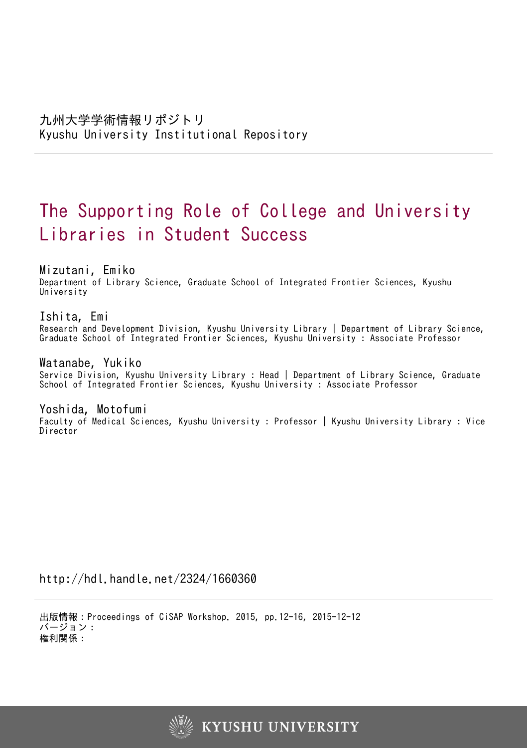# The Supporting Role of College and University Libraries in Student Success

Mizutani, Emiko

Department of Library Science, Graduate School of Integrated Frontier Sciences, Kyushu University

Ishita, Emi

Research and Development Division, Kyushu University Library | Department of Library Science, Graduate School of Integrated Frontier Sciences, Kyushu University : Associate Professor

Watanabe, Yukiko

Service Division, Kyushu University Library : Head | Department of Library Science, Graduate School of Integrated Frontier Sciences, Kyushu University : Associate Professor

Yoshida, Motofumi Faculty of Medical Sciences, Kyushu University : Professor | Kyushu University Library : Vice Director

http://hdl.handle.net/2324/1660360

出版情報:Proceedings of CiSAP Workshop. 2015, pp.12-16, 2015-12-12 バージョン: 権利関係:

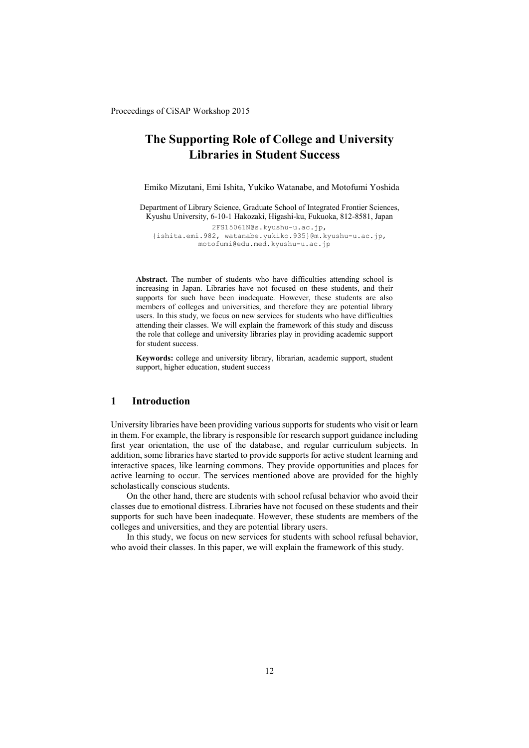# **The Supporting Role of College and University Libraries in Student Success**

Emiko Mizutani, Emi Ishita, Yukiko Watanabe, and Motofumi Yoshida

Department of Library Science, Graduate School of Integrated Frontier Sciences, Kyushu University, 6-10-1 Hakozaki, Higashi-ku, Fukuoka, 812-8581, Japan 2FS15061N@s.kyushu-u.ac.jp,

{ishita.emi.982, watanabe.yukiko.935}@m.kyushu-u.ac.jp, motofumi@edu.med.kyushu-u.ac.jp

**Abstract.** The number of students who have difficulties attending school is increasing in Japan. Libraries have not focused on these students, and their supports for such have been inadequate. However, these students are also members of colleges and universities, and therefore they are potential library users. In this study, we focus on new services for students who have difficulties attending their classes. We will explain the framework of this study and discuss the role that college and university libraries play in providing academic support for student success.

**Keywords:** college and university library, librarian, academic support, student support, higher education, student success

# **1 Introduction**

University libraries have been providing various supports for students who visit or learn in them. For example, the library is responsible for research support guidance including first year orientation, the use of the database, and regular curriculum subjects. In addition, some libraries have started to provide supports for active student learning and interactive spaces, like learning commons. They provide opportunities and places for active learning to occur. The services mentioned above are provided for the highly scholastically conscious students.

On the other hand, there are students with school refusal behavior who avoid their classes due to emotional distress. Libraries have not focused on these students and their supports for such have been inadequate. However, these students are members of the colleges and universities, and they are potential library users.

In this study, we focus on new services for students with school refusal behavior, who avoid their classes. In this paper, we will explain the framework of this study.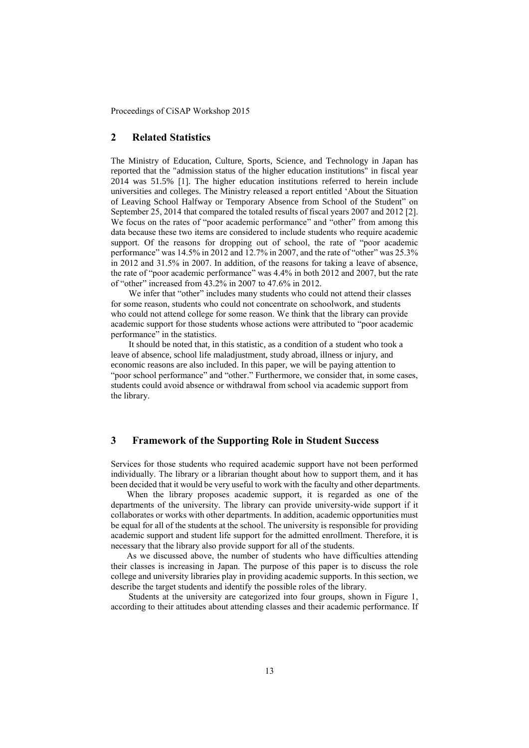# **2 Related Statistics**

The Ministry of Education, Culture, Sports, Science, and Technology in Japan has reported that the "admission status of the higher education institutions" in fiscal year 2014 was 51.5% [1]. The higher education institutions referred to herein include universities and colleges. The Ministry released a report entitled 'About the Situation of Leaving School Halfway or Temporary Absence from School of the Student" on September 25, 2014 that compared the totaled results of fiscal years 2007 and 2012 [2]. We focus on the rates of "poor academic performance" and "other" from among this data because these two items are considered to include students who require academic support. Of the reasons for dropping out of school, the rate of "poor academic performance" was 14.5% in 2012 and 12.7% in 2007, and the rate of "other" was 25.3% in 2012 and 31.5% in 2007. In addition, of the reasons for taking a leave of absence, the rate of "poor academic performance" was 4.4% in both 2012 and 2007, but the rate of "other" increased from 43.2% in 2007 to 47.6% in 2012.

We infer that "other" includes many students who could not attend their classes for some reason, students who could not concentrate on schoolwork, and students who could not attend college for some reason. We think that the library can provide academic support for those students whose actions were attributed to "poor academic performance" in the statistics.

It should be noted that, in this statistic, as a condition of a student who took a leave of absence, school life maladjustment, study abroad, illness or injury, and economic reasons are also included. In this paper, we will be paying attention to "poor school performance" and "other." Furthermore, we consider that, in some cases, students could avoid absence or withdrawal from school via academic support from the library.

# **3 Framework of the Supporting Role in Student Success**

Services for those students who required academic support have not been performed individually. The library or a librarian thought about how to support them, and it has been decided that it would be very useful to work with the faculty and other departments.

When the library proposes academic support, it is regarded as one of the departments of the university. The library can provide university-wide support if it collaborates or works with other departments. In addition, academic opportunities must be equal for all of the students at the school. The university is responsible for providing academic support and student life support for the admitted enrollment. Therefore, it is necessary that the library also provide support for all of the students.

As we discussed above, the number of students who have difficulties attending their classes is increasing in Japan. The purpose of this paper is to discuss the role college and university libraries play in providing academic supports. In this section, we describe the target students and identify the possible roles of the library.

Students at the university are categorized into four groups, shown in Figure 1, according to their attitudes about attending classes and their academic performance. If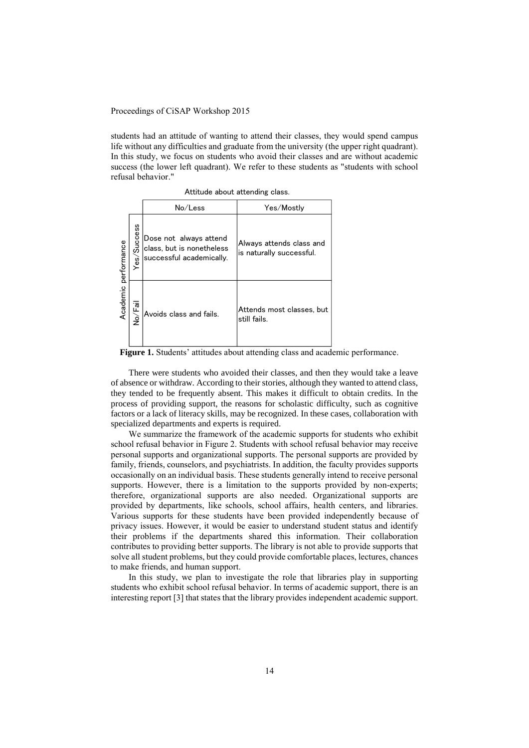students had an attitude of wanting to attend their classes, they would spend campus life without any difficulties and graduate from the university (the upper right quadrant). In this study, we focus on students who avoid their classes and are without academic success (the lower left quadrant). We refer to these students as "students with school refusal behavior."

Attitude about attending class.

|                      |                 | No/Less                                                                         | Yes/Mostly                                           |
|----------------------|-----------------|---------------------------------------------------------------------------------|------------------------------------------------------|
| Academic performance | Success<br>Yes/ | Dose not always attend<br>class, but is nonetheless<br>successful academically. | Always attends class and<br>is naturally successful. |
|                      | No/Fail         | Avoids class and fails.                                                         | Attends most classes, but<br>still fails.            |

**Figure 1.** Students' attitudes about attending class and academic performance.

There were students who avoided their classes, and then they would take a leave of absence or withdraw. According to their stories, although they wanted to attend class, they tended to be frequently absent. This makes it difficult to obtain credits. In the process of providing support, the reasons for scholastic difficulty, such as cognitive factors or a lack of literacy skills, may be recognized. In these cases, collaboration with specialized departments and experts is required.

We summarize the framework of the academic supports for students who exhibit school refusal behavior in Figure 2. Students with school refusal behavior may receive personal supports and organizational supports. The personal supports are provided by family, friends, counselors, and psychiatrists. In addition, the faculty provides supports occasionally on an individual basis. These students generally intend to receive personal supports. However, there is a limitation to the supports provided by non-experts; therefore, organizational supports are also needed. Organizational supports are provided by departments, like schools, school affairs, health centers, and libraries. Various supports for these students have been provided independently because of privacy issues. However, it would be easier to understand student status and identify their problems if the departments shared this information. Their collaboration contributes to providing better supports. The library is not able to provide supports that solve all student problems, but they could provide comfortable places, lectures, chances to make friends, and human support.

In this study, we plan to investigate the role that libraries play in supporting students who exhibit school refusal behavior. In terms of academic support, there is an interesting report [3] that states that the library provides independent academic support.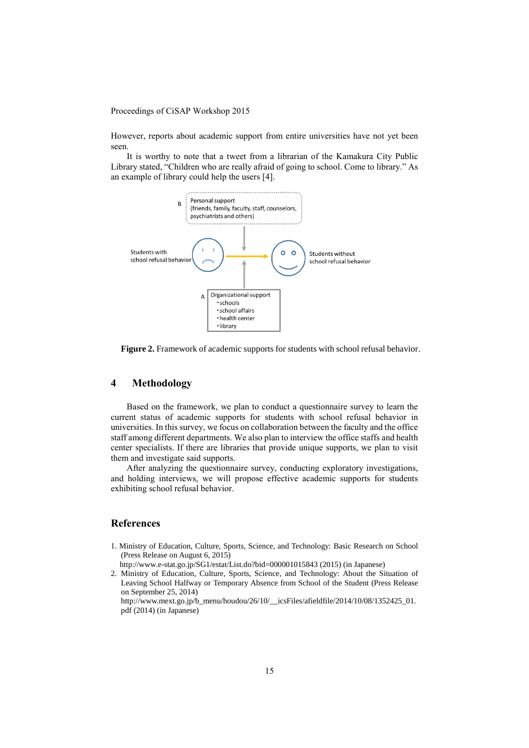However, reports about academic support from entire universities have not yet been seen.

It is worthy to note that a tweet from a librarian of the Kamakura City Public Library stated, "Children who are really afraid of going to school. Come to library." As an example of library could help the users [4].



**Figure 2.** Framework of academic supports for students with school refusal behavior.

# **4 Methodology**

Based on the framework, we plan to conduct a questionnaire survey to learn the current status of academic supports for students with school refusal behavior in universities. In this survey, we focus on collaboration between the faculty and the office staff among different departments. We also plan to interview the office staffs and health center specialists. If there are libraries that provide unique supports, we plan to visit them and investigate said supports.

After analyzing the questionnaire survey, conducting exploratory investigations, and holding interviews, we will propose effective academic supports for students exhibiting school refusal behavior.

# **References**

1. Ministry of Education, Culture, Sports, Science, and Technology: Basic Research on School (Press Release on August 6, 2015)

http://www.e-stat.go.jp/SG1/estat/List.do?bid=000001015843 (2015) (in Japanese)

2. Ministry of Education, Culture, Sports, Science, and Technology: About the Situation of Leaving School Halfway or Temporary Absence from School of the Student (Press Release on September 25, 2014)

http://www.mext.go.jp/b\_menu/houdou/26/10/\_\_icsFiles/afieldfile/2014/10/08/1352425\_01. pdf (2014) (in Japanese)